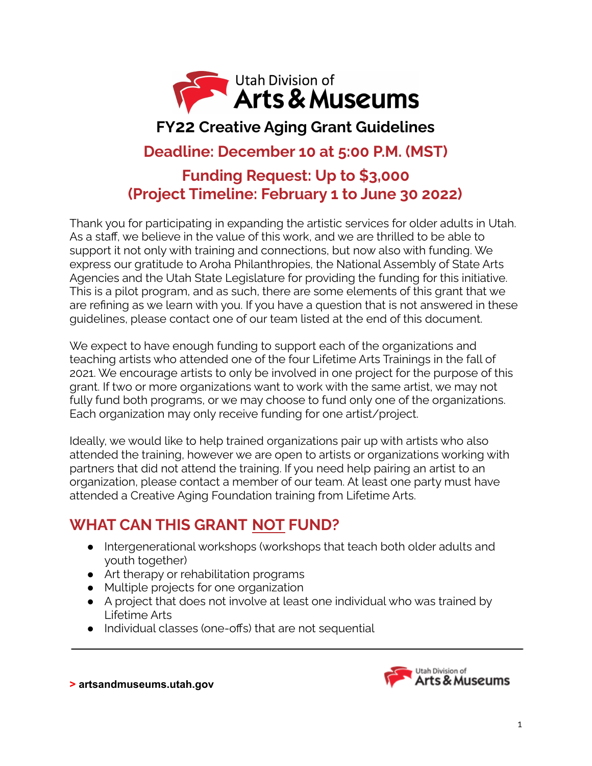

# **FY22 Creative Aging Grant Guidelines**

### **Deadline: December 10 at 5:00 P.M. (MST)**

### **Funding Request: Up to \$3,000 (Project Timeline: February 1 to June 30 2022)**

Thank you for participating in expanding the artistic services for older adults in Utah. As a staff, we believe in the value of this work, and we are thrilled to be able to support it not only with training and connections, but now also with funding. We express our gratitude to Aroha Philanthropies, the National Assembly of State Arts Agencies and the Utah State Legislature for providing the funding for this initiative. This is a pilot program, and as such, there are some elements of this grant that we are refining as we learn with you. If you have a question that is not answered in these guidelines, please contact one of our team listed at the end of this document.

We expect to have enough funding to support each of the organizations and teaching artists who attended one of the four Lifetime Arts Trainings in the fall of 2021. We encourage artists to only be involved in one project for the purpose of this grant. If two or more organizations want to work with the same artist, we may not fully fund both programs, or we may choose to fund only one of the organizations. Each organization may only receive funding for one artist/project.

Ideally, we would like to help trained organizations pair up with artists who also attended the training, however we are open to artists or organizations working with partners that did not attend the training. If you need help pairing an artist to an organization, please contact a member of our team. At least one party must have attended a Creative Aging Foundation training from Lifetime Arts.

### **WHAT CAN THIS GRANT NOT FUND?**

- Intergenerational workshops (workshops that teach both older adults and youth together)
- Art therapy or rehabilitation programs
- Multiple projects for one organization
- A project that does not involve at least one individual who was trained by Lifetime Arts
- Individual classes (one-offs) that are not sequential

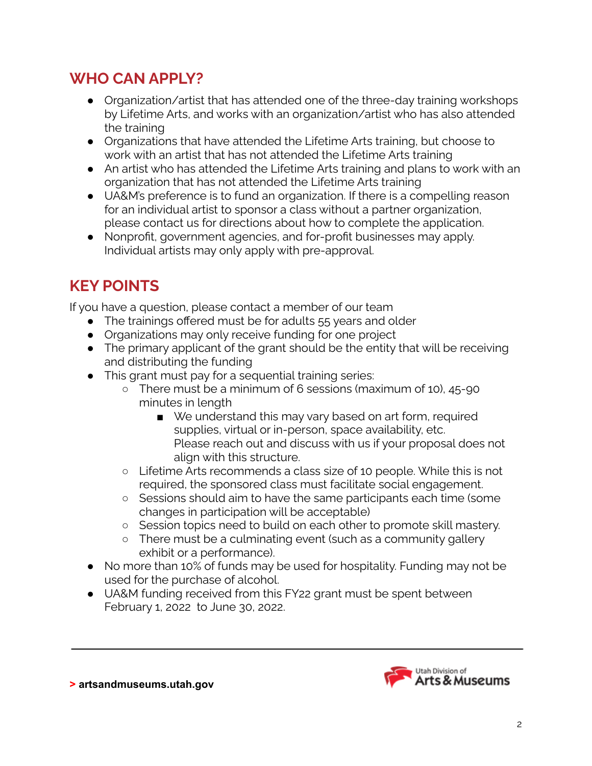### **WHO CAN APPLY?**

- Organization/artist that has attended one of the three-day training workshops by Lifetime Arts, and works with an organization/artist who has also attended the training
- Organizations that have attended the Lifetime Arts training, but choose to work with an artist that has not attended the Lifetime Arts training
- An artist who has attended the Lifetime Arts training and plans to work with an organization that has not attended the Lifetime Arts training
- UA&M's preference is to fund an organization. If there is a compelling reason for an individual artist to sponsor a class without a partner organization, please contact us for directions about how to complete the application.
- Nonprofit, government agencies, and for-profit businesses may apply. Individual artists may only apply with pre-approval.

## **KEY POINTS**

If you have a question, please contact a member of our team

- The trainings offered must be for adults 55 years and older
- Organizations may only receive funding for one project
- The primary applicant of the grant should be the entity that will be receiving and distributing the funding
- This grant must pay for a sequential training series:
	- There must be a minimum of 6 sessions (maximum of 10), 45-90 minutes in length
		- We understand this may vary based on art form, required supplies, virtual or in-person, space availability, etc. Please reach out and discuss with us if your proposal does not align with this structure.
	- Lifetime Arts recommends a class size of 10 people. While this is not required, the sponsored class must facilitate social engagement.
	- Sessions should aim to have the same participants each time (some changes in participation will be acceptable)
	- Session topics need to build on each other to promote skill mastery.
	- There must be a culminating event (such as a community gallery exhibit or a performance).
- No more than 10% of funds may be used for hospitality. Funding may not be used for the purchase of alcohol.
- UA&M funding received from this FY22 grant must be spent between February 1, 2022 to June 30, 2022.

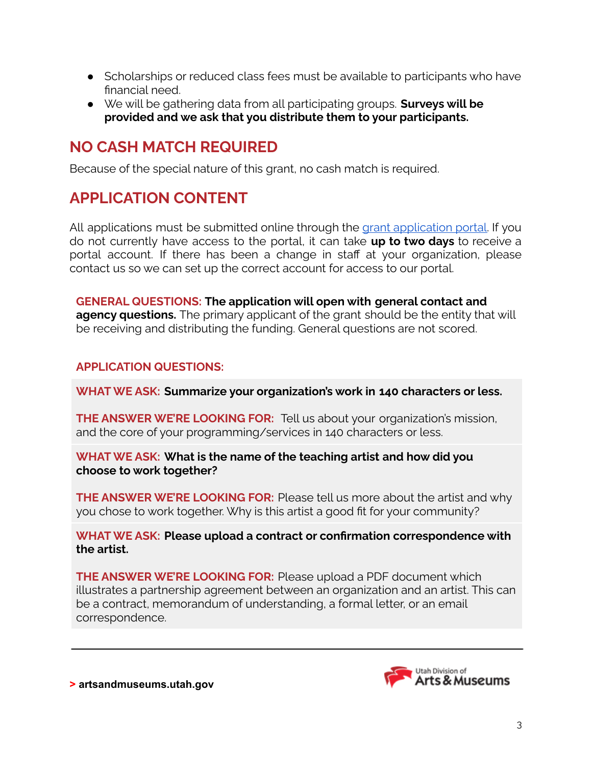- Scholarships or reduced class fees must be available to participants who have financial need.
- We will be gathering data from all participating groups. **Surveys will be provided and we ask that you distribute them to your participants.**

### **NO CASH MATCH REQUIRED**

Because of the special nature of this grant, no cash match is required.

### **APPLICATION CONTENT**

All [application](https://utahdcc.secure.force.com/portal/)s must be submitted online through the grant application portal. If you do not currently have access to the portal, it can take **up to two days** to receive a portal account. If there has been a change in staff at your organization, please contact us so we can set up the correct account for access to our portal.

**GENERAL QUESTIONS: The application will open with general contact and agency questions.** The primary applicant of the grant should be the entity that will be receiving and distributing the funding. General questions are not scored.

#### **APPLICATION QUESTIONS:**

**WHAT WE ASK: Summarize your organization's work in 140 characters or less.**

**THE ANSWER WE'RE LOOKING FOR:** Tell us about your organization's mission, and the core of your programming/services in 140 characters or less.

**WHAT WE ASK: What is the name of the teaching artist and how did you choose to work together?**

**THE ANSWER WE'RE LOOKING FOR:** Please tell us more about the artist and why you chose to work together. Why is this artist a good fit for your community?

**WHAT WE ASK: Please upload a contract or confirmation correspondence with the artist.**

**THE ANSWER WE'RE LOOKING FOR:** Please upload a PDF document which illustrates a partnership agreement between an organization and an artist. This can be a contract, memorandum of understanding, a formal letter, or an email correspondence.

> Utah Division of Arts & Museums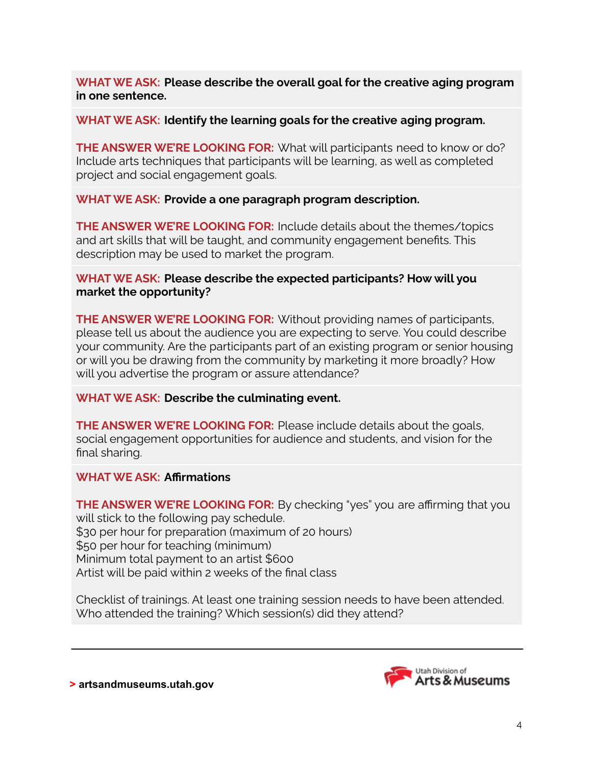**WHAT WE ASK: Please describe the overall goal for the creative aging program in one sentence.**

#### **WHAT WE ASK: Identify the learning goals for the creative aging program.**

**THE ANSWER WE'RE LOOKING FOR:** What will participants need to know or do? Include arts techniques that participants will be learning, as well as completed project and social engagement goals.

#### **WHAT WE ASK: Provide a one paragraph program description.**

**THE ANSWER WE'RE LOOKING FOR:** Include details about the themes/topics and art skills that will be taught, and community engagement benefits. This description may be used to market the program.

#### **WHAT WE ASK: Please describe the expected participants? How will you market the opportunity?**

**THE ANSWER WE'RE LOOKING FOR:** Without providing names of participants, please tell us about the audience you are expecting to serve. You could describe your community. Are the participants part of an existing program or senior housing or will you be drawing from the community by marketing it more broadly? How will you advertise the program or assure attendance?

#### **WHAT WE ASK: Describe the culminating event.**

**THE ANSWER WE'RE LOOKING FOR:** Please include details about the goals, social engagement opportunities for audience and students, and vision for the final sharing.

#### **WHAT WE ASK: Affirmations**

**THE ANSWER WE'RE LOOKING FOR:** By checking "yes" you are affirming that you will stick to the following pay schedule. \$30 per hour for preparation (maximum of 20 hours) \$50 per hour for teaching (minimum) Minimum total payment to an artist \$600 Artist will be paid within 2 weeks of the final class

Checklist of trainings. At least one training session needs to have been attended. Who attended the training? Which session(s) did they attend?

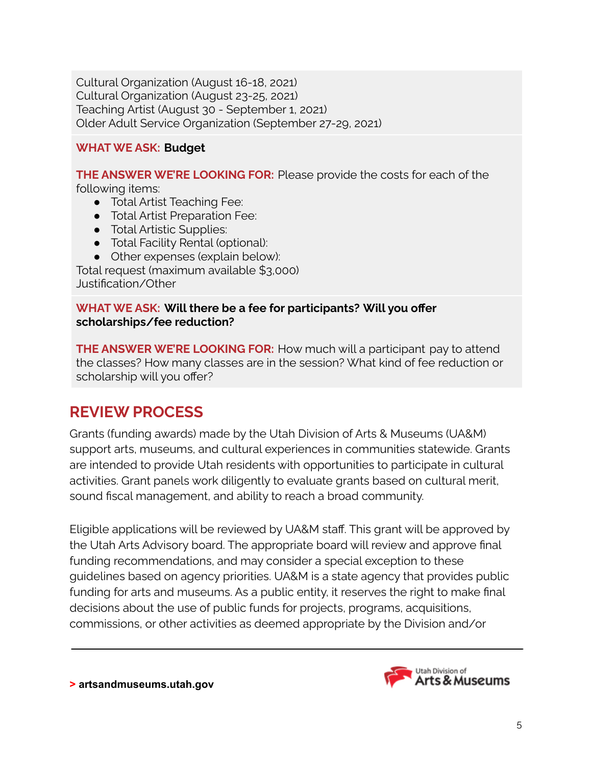Cultural Organization (August 16-18, 2021) Cultural Organization (August 23-25, 2021) Teaching Artist (August 30 - September 1, 2021) Older Adult Service Organization (September 27-29, 2021)

#### **WHAT WE ASK: Budget**

**THE ANSWER WE'RE LOOKING FOR:** Please provide the costs for each of the following items:

- Total Artist Teaching Fee:
- Total Artist Preparation Fee:
- Total Artistic Supplies:
- Total Facility Rental (optional):
- Other expenses (explain below):

Total request (maximum available \$3,000) Justification/Other

#### **WHAT WE ASK: Will there be a fee for participants? Will you offer scholarships/fee reduction?**

**THE ANSWER WE'RE LOOKING FOR:** How much will a participant pay to attend the classes? How many classes are in the session? What kind of fee reduction or scholarship will you offer?

### **REVIEW PROCESS**

Grants (funding awards) made by the Utah Division of Arts & Museums (UA&M) support arts, museums, and cultural experiences in communities statewide. Grants are intended to provide Utah residents with opportunities to participate in cultural activities. Grant panels work diligently to evaluate grants based on cultural merit, sound fiscal management, and ability to reach a broad community.

Eligible applications will be reviewed by UA&M staff. This grant will be approved by the Utah Arts Advisory board. The appropriate board will review and approve final funding recommendations, and may consider a special exception to these guidelines based on agency priorities. UA&M is a state agency that provides public funding for arts and museums. As a public entity, it reserves the right to make final decisions about the use of public funds for projects, programs, acquisitions, commissions, or other activities as deemed appropriate by the Division and/or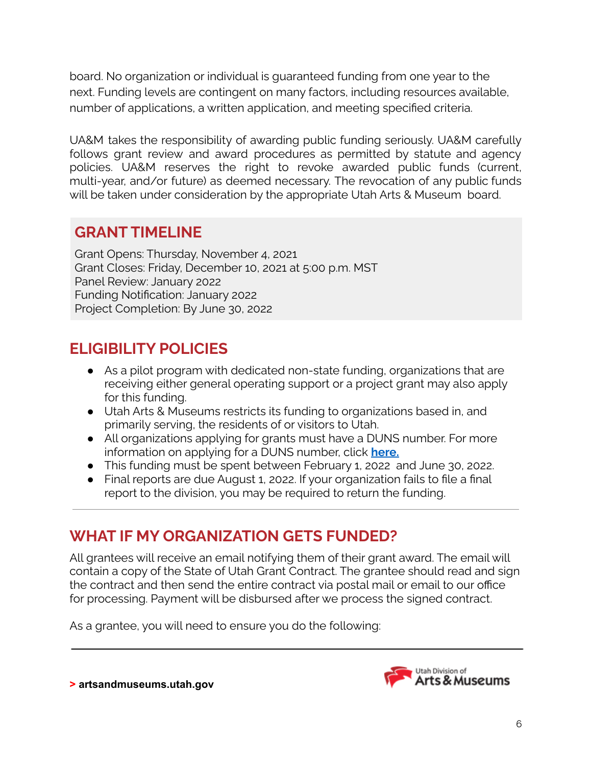board. No organization or individual is guaranteed funding from one year to the next. Funding levels are contingent on many factors, including resources available, number of applications, a written application, and meeting specified criteria.

UA&M takes the responsibility of awarding public funding seriously. UA&M carefully follows grant review and award procedures as permitted by statute and agency policies. UA&M reserves the right to revoke awarded public funds (current, multi-year, and/or future) as deemed necessary. The revocation of any public funds will be taken under consideration by the appropriate Utah Arts & Museum board.

### **GRANT TIMELINE**

Grant Opens: Thursday, November 4, 2021 Grant Closes: Friday, December 10, 2021 at 5:00 p.m. MST Panel Review: January 2022 Funding Notification: January 2022 Project Completion: By June 30, 2022

### **ELIGIBILITY POLICIES**

- As a pilot program with dedicated non-state funding, organizations that are receiving either general operating support or a project grant may also apply for this funding.
- Utah Arts & Museums restricts its funding to organizations based in, and primarily serving, the residents of or visitors to Utah.
- All organizations applying for grants must have a DUNS number. For more information on applying for a DUNS number, click **[here.](https://artsandmuseums.utah.gov/wp-content/uploads/2019/01/DUNSInstructions_2017.pdf)**
- This funding must be spent between February 1, 2022 and June 30, 2022.
- Final reports are due August 1, 2022. If your organization fails to file a final report to the division, you may be required to return the funding.

### **WHAT IF MY ORGANIZATION GETS FUNDED?**

All grantees will receive an email notifying them of their grant award. The email will contain a copy of the State of Utah Grant Contract. The grantee should read and sign the contract and then send the entire contract via postal mail or email to our office for processing. Payment will be disbursed after we process the signed contract.

As a grantee, you will need to ensure you do the following: